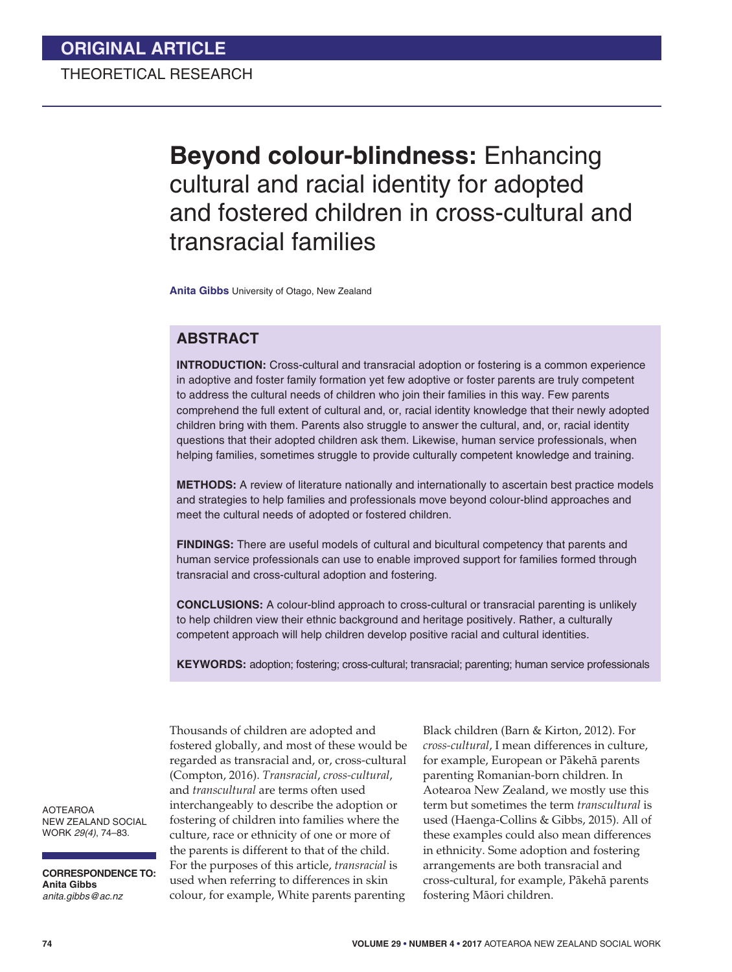# **Beyond colour-blindness:** Enhancing cultural and racial identity for adopted and fostered children in cross-cultural and transracial families

**Anita Gibbs** University of Otago, New Zealand

## **ABSTRACT**

**INTRODUCTION:** Cross-cultural and transracial adoption or fostering is a common experience in adoptive and foster family formation yet few adoptive or foster parents are truly competent to address the cultural needs of children who join their families in this way. Few parents comprehend the full extent of cultural and, or, racial identity knowledge that their newly adopted children bring with them. Parents also struggle to answer the cultural, and, or, racial identity questions that their adopted children ask them. Likewise, human service professionals, when helping families, sometimes struggle to provide culturally competent knowledge and training.

**METHODS:** A review of literature nationally and internationally to ascertain best practice models and strategies to help families and professionals move beyond colour-blind approaches and meet the cultural needs of adopted or fostered children.

**FINDINGS:** There are useful models of cultural and bicultural competency that parents and human service professionals can use to enable improved support for families formed through transracial and cross-cultural adoption and fostering.

**CONCLUSIONS:** A colour-blind approach to cross-cultural or transracial parenting is unlikely to help children view their ethnic background and heritage positively. Rather, a culturally competent approach will help children develop positive racial and cultural identities.

**KEYWORDS:** adoption; fostering; cross-cultural; transracial; parenting; human service professionals

Thousands of children are adopted and fostered globally, and most of these would be regarded as transracial and, or, cross-cultural (Compton, 2016). *Transracial*, *cross-cultural*, and *transcultural* are terms often used interchangeably to describe the adoption or fostering of children into families where the culture, race or ethnicity of one or more of the parents is different to that of the child. For the purposes of this article, *transracial* is used when referring to differences in skin colour, for example, White parents parenting

Black children (Barn & Kirton, 2012). For *cross-cultural*, I mean differences in culture, for example, European or Pákehá parents parenting Romanian-born children. In Aotearoa New Zealand, we mostly use this term but sometimes the term *transcultural* is used (Haenga-Collins & Gibbs, 2015). All of these examples could also mean differences in ethnicity. Some adoption and fostering arrangements are both transracial and cross-cultural, for example, Pákehá parents fostering Máori children.

AOTEAROA NEW ZEALAND SOCIAL WORK *29(4)*, 74–83.

**CORRESPONDENCE TO: Anita Gibbs** *anita.gibbs@ac.nz*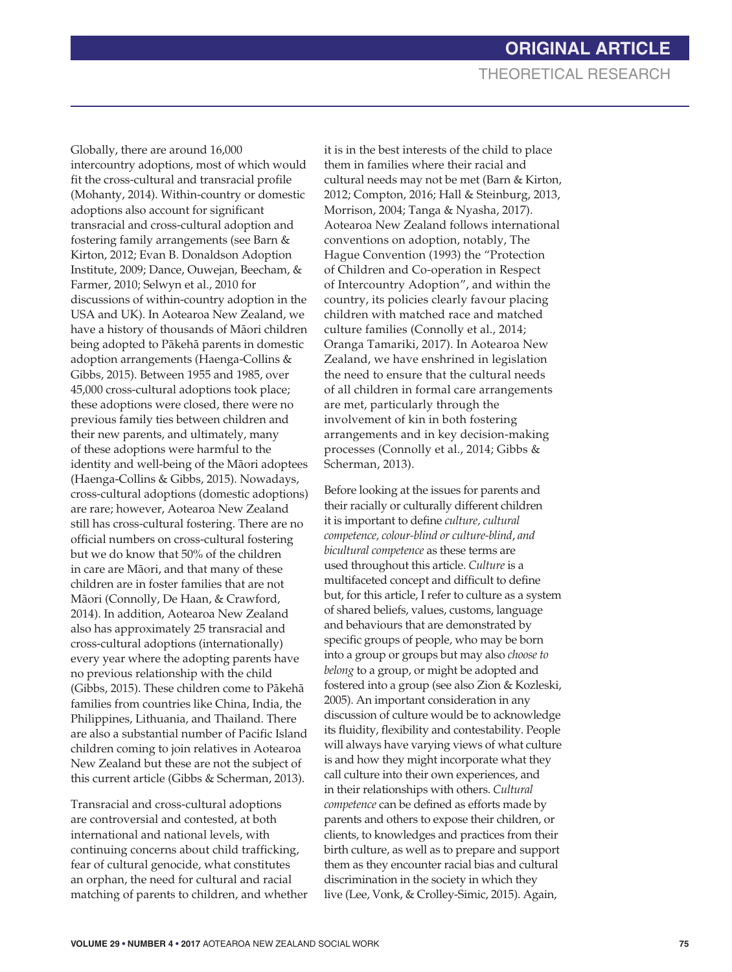Globally, there are around 16,000 intercountry adoptions, most of which would fit the cross-cultural and transracial profile (Mohanty, 2014). Within-country or domestic adoptions also account for significant transracial and cross-cultural adoption and fostering family arrangements (see Barn & Kirton, 2012; Evan B. Donaldson Adoption Institute, 2009; Dance, Ouwejan, Beecham, & Farmer, 2010; Selwyn et al., 2010 for discussions of within-country adoption in the USA and UK). In Aotearoa New Zealand, we have a history of thousands of Máori children being adopted to Pákehá parents in domestic adoption arrangements (Haenga-Collins & Gibbs, 2015). Between 1955 and 1985, over 45,000 cross-cultural adoptions took place; these adoptions were closed, there were no previous family ties between children and their new parents, and ultimately, many of these adoptions were harmful to the identity and well-being of the Máori adoptees (Haenga-Collins & Gibbs, 2015). Nowadays, cross-cultural adoptions (domestic adoptions) are rare; however, Aotearoa New Zealand still has cross-cultural fostering. There are no official numbers on cross-cultural fostering but we do know that 50% of the children in care are Máori, and that many of these children are in foster families that are not Máori (Connolly, De Haan, & Crawford, 2014). In addition, Aotearoa New Zealand also has approximately 25 transracial and cross-cultural adoptions (internationally) every year where the adopting parents have no previous relationship with the child (Gibbs, 2015). These children come to Pákehá families from countries like China, India, the Philippines, Lithuania, and Thailand. There are also a substantial number of Pacific Island children coming to join relatives in Aotearoa New Zealand but these are not the subject of this current article (Gibbs & Scherman, 2013).

Transracial and cross-cultural adoptions are controversial and contested, at both international and national levels, with continuing concerns about child trafficking, fear of cultural genocide, what constitutes an orphan, the need for cultural and racial matching of parents to children, and whether it is in the best interests of the child to place them in families where their racial and cultural needs may not be met (Barn & Kirton, 2012; Compton, 2016; Hall & Steinburg, 2013, Morrison, 2004; Tanga & Nyasha, 2017). Aotearoa New Zealand follows international conventions on adoption, notably, The Hague Convention (1993) the "Protection of Children and Co-operation in Respect of Intercountry Adoption", and within the country, its policies clearly favour placing children with matched race and matched culture families (Connolly et al., 2014; Oranga Tamariki, 2017). In Aotearoa New Zealand, we have enshrined in legislation the need to ensure that the cultural needs of all children in formal care arrangements are met, particularly through the involvement of kin in both fostering arrangements and in key decision-making processes (Connolly et al., 2014; Gibbs & Scherman, 2013).

Before looking at the issues for parents and their racially or culturally different children it is important to define *culture, cultural competence, colour-blind or culture-blind*, *and bicultural competence* as these terms are used throughout this article. *Culture* is a multifaceted concept and difficult to define but, for this article, I refer to culture as a system of shared beliefs, values, customs, language and behaviours that are demonstrated by specific groups of people, who may be born into a group or groups but may also *choose to belong* to a group, or might be adopted and fostered into a group (see also Zion & Kozleski, 2005). An important consideration in any discussion of culture would be to acknowledge its fluidity, flexibility and contestability. People will always have varying views of what culture is and how they might incorporate what they call culture into their own experiences, and in their relationships with others. *Cultural competence* can be defined as efforts made by parents and others to expose their children, or clients, to knowledges and practices from their birth culture, as well as to prepare and support them as they encounter racial bias and cultural discrimination in the society in which they live (Lee, Vonk, & Crolley-Simic, 2015). Again,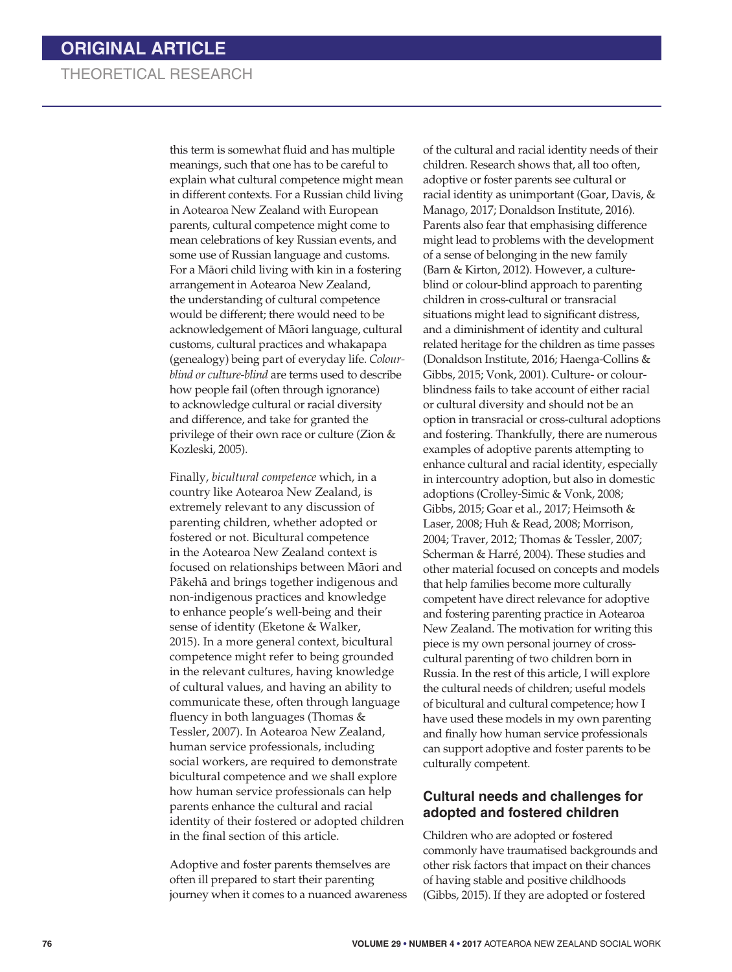# THEORETICAL RESEARCH

this term is somewhat fluid and has multiple meanings, such that one has to be careful to explain what cultural competence might mean in different contexts. For a Russian child living in Aotearoa New Zealand with European parents, cultural competence might come to mean celebrations of key Russian events, and some use of Russian language and customs. For a Máori child living with kin in a fostering arrangement in Aotearoa New Zealand, the understanding of cultural competence would be different; there would need to be acknowledgement of Máori language, cultural customs, cultural practices and whakapapa (genealogy) being part of everyday life. *Colourblind or culture-blind* are terms used to describe how people fail (often through ignorance) to acknowledge cultural or racial diversity and difference, and take for granted the privilege of their own race or culture (Zion & Kozleski, 2005).

Finally, *bicultural competence* which, in a country like Aotearoa New Zealand, is extremely relevant to any discussion of parenting children, whether adopted or fostered or not. Bicultural competence in the Aotearoa New Zealand context is focused on relationships between Máori and Pákehá and brings together indigenous and non-indigenous practices and knowledge to enhance people's well-being and their sense of identity (Eketone & Walker, 2015). In a more general context, bicultural competence might refer to being grounded in the relevant cultures, having knowledge of cultural values, and having an ability to communicate these, often through language fluency in both languages (Thomas & Tessler, 2007). In Aotearoa New Zealand, human service professionals, including social workers, are required to demonstrate bicultural competence and we shall explore how human service professionals can help parents enhance the cultural and racial identity of their fostered or adopted children in the final section of this article.

Adoptive and foster parents themselves are often ill prepared to start their parenting journey when it comes to a nuanced awareness

of the cultural and racial identity needs of their children. Research shows that, all too often, adoptive or foster parents see cultural or racial identity as unimportant (Goar, Davis, & Manago, 2017; Donaldson Institute, 2016). Parents also fear that emphasising difference might lead to problems with the development of a sense of belonging in the new family (Barn & Kirton, 2012). However, a cultureblind or colour-blind approach to parenting children in cross-cultural or transracial situations might lead to significant distress, and a diminishment of identity and cultural related heritage for the children as time passes (Donaldson Institute, 2016; Haenga-Collins & Gibbs, 2015; Vonk, 2001). Culture- or colourblindness fails to take account of either racial or cultural diversity and should not be an option in transracial or cross-cultural adoptions and fostering. Thankfully, there are numerous examples of adoptive parents attempting to enhance cultural and racial identity, especially in intercountry adoption, but also in domestic adoptions (Crolley-Simic & Vonk, 2008; Gibbs, 2015; Goar et al., 2017; Heimsoth & Laser, 2008; Huh & Read, 2008; Morrison, 2004; Traver, 2012; Thomas & Tessler, 2007; Scherman & Harré, 2004). These studies and other material focused on concepts and models that help families become more culturally competent have direct relevance for adoptive and fostering parenting practice in Aotearoa New Zealand. The motivation for writing this piece is my own personal journey of crosscultural parenting of two children born in Russia. In the rest of this article, I will explore the cultural needs of children; useful models of bicultural and cultural competence; how I have used these models in my own parenting and finally how human service professionals can support adoptive and foster parents to be culturally competent.

#### **Cultural needs and challenges for adopted and fostered children**

Children who are adopted or fostered commonly have traumatised backgrounds and other risk factors that impact on their chances of having stable and positive childhoods (Gibbs, 2015). If they are adopted or fostered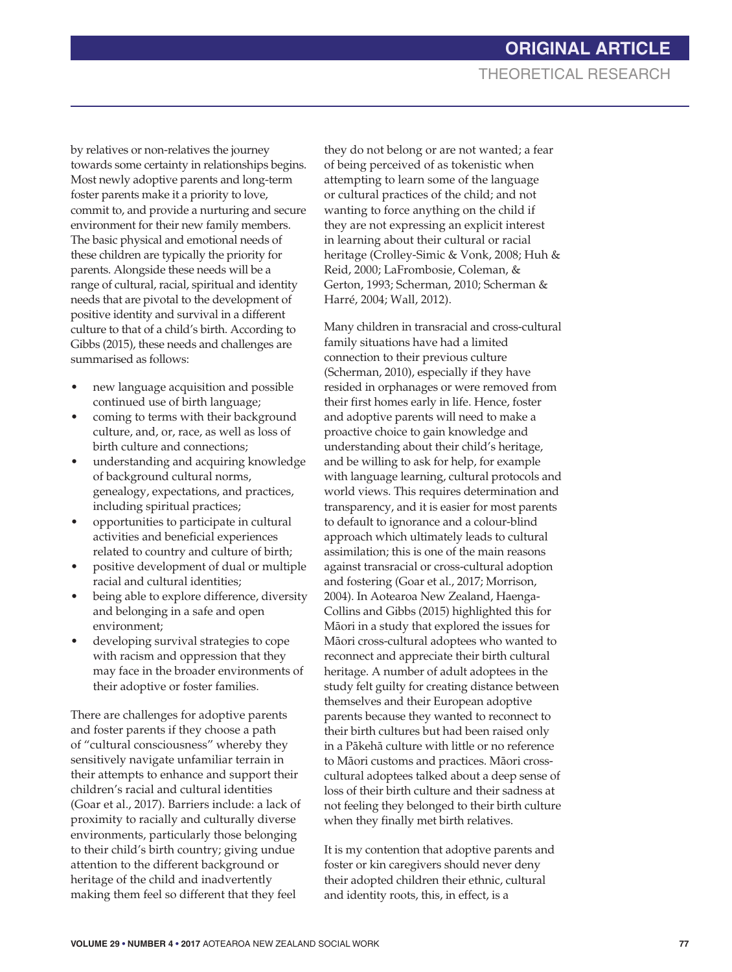by relatives or non-relatives the journey towards some certainty in relationships begins. Most newly adoptive parents and long-term foster parents make it a priority to love, commit to, and provide a nurturing and secure environment for their new family members. The basic physical and emotional needs of these children are typically the priority for parents. Alongside these needs will be a range of cultural, racial, spiritual and identity needs that are pivotal to the development of positive identity and survival in a different culture to that of a child's birth. According to Gibbs (2015), these needs and challenges are summarised as follows:

- new language acquisition and possible continued use of birth language;
- coming to terms with their background culture, and, or, race, as well as loss of birth culture and connections;
- understanding and acquiring knowledge of background cultural norms, genealogy, expectations, and practices, including spiritual practices;
- opportunities to participate in cultural activities and beneficial experiences related to country and culture of birth;
- positive development of dual or multiple racial and cultural identities;
- being able to explore difference, diversity and belonging in a safe and open environment;
- developing survival strategies to cope with racism and oppression that they may face in the broader environments of their adoptive or foster families.

There are challenges for adoptive parents and foster parents if they choose a path of "cultural consciousness" whereby they sensitively navigate unfamiliar terrain in their attempts to enhance and support their children's racial and cultural identities (Goar et al., 2017). Barriers include: a lack of proximity to racially and culturally diverse environments, particularly those belonging to their child's birth country; giving undue attention to the different background or heritage of the child and inadvertently making them feel so different that they feel

they do not belong or are not wanted; a fear of being perceived of as tokenistic when attempting to learn some of the language or cultural practices of the child; and not wanting to force anything on the child if they are not expressing an explicit interest in learning about their cultural or racial heritage (Crolley-Simic & Vonk, 2008; Huh & Reid, 2000; LaFrombosie, Coleman, & Gerton, 1993; Scherman, 2010; Scherman & Harré, 2004; Wall, 2012).

Many children in transracial and cross-cultural family situations have had a limited connection to their previous culture (Scherman, 2010), especially if they have resided in orphanages or were removed from their first homes early in life. Hence, foster and adoptive parents will need to make a proactive choice to gain knowledge and understanding about their child's heritage, and be willing to ask for help, for example with language learning, cultural protocols and world views. This requires determination and transparency, and it is easier for most parents to default to ignorance and a colour-blind approach which ultimately leads to cultural assimilation; this is one of the main reasons against transracial or cross-cultural adoption and fostering (Goar et al., 2017; Morrison, 2004). In Aotearoa New Zealand, Haenga-Collins and Gibbs (2015) highlighted this for Máori in a study that explored the issues for Máori cross-cultural adoptees who wanted to reconnect and appreciate their birth cultural heritage. A number of adult adoptees in the study felt guilty for creating distance between themselves and their European adoptive parents because they wanted to reconnect to their birth cultures but had been raised only in a Pákehá culture with little or no reference to Máori customs and practices. Máori crosscultural adoptees talked about a deep sense of loss of their birth culture and their sadness at not feeling they belonged to their birth culture when they finally met birth relatives.

It is my contention that adoptive parents and foster or kin caregivers should never deny their adopted children their ethnic, cultural and identity roots, this, in effect, is a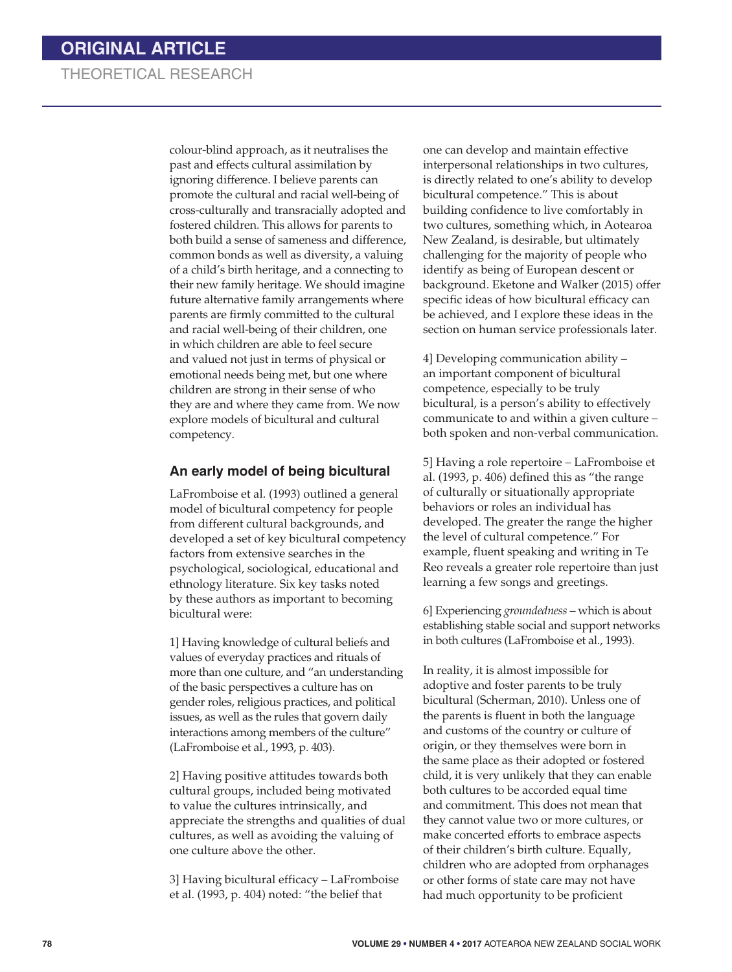# THEORETICAL RESEARCH

colour-blind approach, as it neutralises the past and effects cultural assimilation by ignoring difference. I believe parents can promote the cultural and racial well-being of cross-culturally and transracially adopted and fostered children. This allows for parents to both build a sense of sameness and difference, common bonds as well as diversity, a valuing of a child's birth heritage, and a connecting to their new family heritage. We should imagine future alternative family arrangements where parents are firmly committed to the cultural and racial well-being of their children, one in which children are able to feel secure and valued not just in terms of physical or emotional needs being met, but one where children are strong in their sense of who they are and where they came from. We now explore models of bicultural and cultural competency.

#### **An early model of being bicultural**

LaFromboise et al. (1993) outlined a general model of bicultural competency for people from different cultural backgrounds, and developed a set of key bicultural competency factors from extensive searches in the psychological, sociological, educational and ethnology literature. Six key tasks noted by these authors as important to becoming bicultural were:

1] Having knowledge of cultural beliefs and values of everyday practices and rituals of more than one culture, and "an understanding of the basic perspectives a culture has on gender roles, religious practices, and political issues, as well as the rules that govern daily interactions among members of the culture" (LaFromboise et al., 1993, p. 403).

2] Having positive attitudes towards both cultural groups, included being motivated to value the cultures intrinsically, and appreciate the strengths and qualities of dual cultures, as well as avoiding the valuing of one culture above the other.

3] Having bicultural efficacy – LaFromboise et al. (1993, p. 404) noted: "the belief that

one can develop and maintain effective interpersonal relationships in two cultures, is directly related to one's ability to develop bicultural competence." This is about building confidence to live comfortably in two cultures, something which, in Aotearoa New Zealand, is desirable, but ultimately challenging for the majority of people who identify as being of European descent or background. Eketone and Walker (2015) offer specific ideas of how bicultural efficacy can be achieved, and I explore these ideas in the section on human service professionals later.

4] Developing communication ability – an important component of bicultural competence, especially to be truly bicultural, is a person's ability to effectively communicate to and within a given culture – both spoken and non-verbal communication.

5] Having a role repertoire – LaFromboise et al. (1993, p. 406) defined this as "the range of culturally or situationally appropriate behaviors or roles an individual has developed. The greater the range the higher the level of cultural competence." For example, fluent speaking and writing in Te Reo reveals a greater role repertoire than just learning a few songs and greetings.

6] Experiencing *groundedness* – which is about establishing stable social and support networks in both cultures (LaFromboise et al., 1993).

In reality, it is almost impossible for adoptive and foster parents to be truly bicultural (Scherman, 2010). Unless one of the parents is fluent in both the language and customs of the country or culture of origin, or they themselves were born in the same place as their adopted or fostered child, it is very unlikely that they can enable both cultures to be accorded equal time and commitment. This does not mean that they cannot value two or more cultures, or make concerted efforts to embrace aspects of their children's birth culture. Equally, children who are adopted from orphanages or other forms of state care may not have had much opportunity to be proficient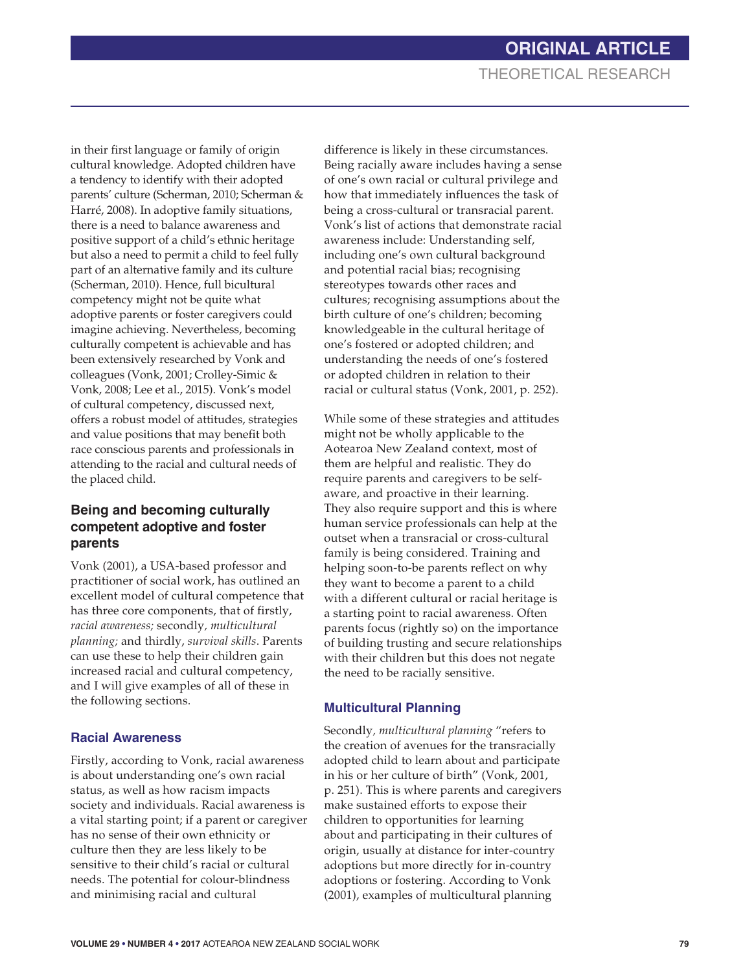in their first language or family of origin cultural knowledge. Adopted children have a tendency to identify with their adopted parents' culture (Scherman, 2010; Scherman & Harré, 2008). In adoptive family situations, there is a need to balance awareness and positive support of a child's ethnic heritage but also a need to permit a child to feel fully part of an alternative family and its culture (Scherman, 2010). Hence, full bicultural competency might not be quite what adoptive parents or foster caregivers could imagine achieving. Nevertheless, becoming culturally competent is achievable and has been extensively researched by Vonk and colleagues (Vonk, 2001; Crolley-Simic & Vonk, 2008; Lee et al., 2015). Vonk's model of cultural competency, discussed next, offers a robust model of attitudes, strategies and value positions that may benefit both race conscious parents and professionals in attending to the racial and cultural needs of the placed child.

#### **Being and becoming culturally competent adoptive and foster parents**

Vonk (2001), a USA-based professor and practitioner of social work, has outlined an excellent model of cultural competence that has three core components, that of firstly, *racial awareness;* secondly*, multicultural planning;* and thirdly, *survival skills*. Parents can use these to help their children gain increased racial and cultural competency, and I will give examples of all of these in the following sections.

#### **Racial Awareness**

Firstly, according to Vonk, racial awareness is about understanding one's own racial status, as well as how racism impacts society and individuals. Racial awareness is a vital starting point; if a parent or caregiver has no sense of their own ethnicity or culture then they are less likely to be sensitive to their child's racial or cultural needs. The potential for colour-blindness and minimising racial and cultural

difference is likely in these circumstances. Being racially aware includes having a sense of one's own racial or cultural privilege and how that immediately influences the task of being a cross-cultural or transracial parent. Vonk's list of actions that demonstrate racial awareness include: Understanding self, including one's own cultural background and potential racial bias; recognising stereotypes towards other races and cultures; recognising assumptions about the birth culture of one's children; becoming knowledgeable in the cultural heritage of one's fostered or adopted children; and understanding the needs of one's fostered or adopted children in relation to their racial or cultural status (Vonk, 2001, p. 252).

While some of these strategies and attitudes might not be wholly applicable to the Aotearoa New Zealand context, most of them are helpful and realistic. They do require parents and caregivers to be selfaware, and proactive in their learning. They also require support and this is where human service professionals can help at the outset when a transracial or cross-cultural family is being considered. Training and helping soon-to-be parents reflect on why they want to become a parent to a child with a different cultural or racial heritage is a starting point to racial awareness. Often parents focus (rightly so) on the importance of building trusting and secure relationships with their children but this does not negate the need to be racially sensitive.

#### **Multicultural Planning**

Secondly*, multicultural planning* "refers to the creation of avenues for the transracially adopted child to learn about and participate in his or her culture of birth" (Vonk, 2001, p. 251). This is where parents and caregivers make sustained efforts to expose their children to opportunities for learning about and participating in their cultures of origin, usually at distance for inter-country adoptions but more directly for in-country adoptions or fostering. According to Vonk (2001), examples of multicultural planning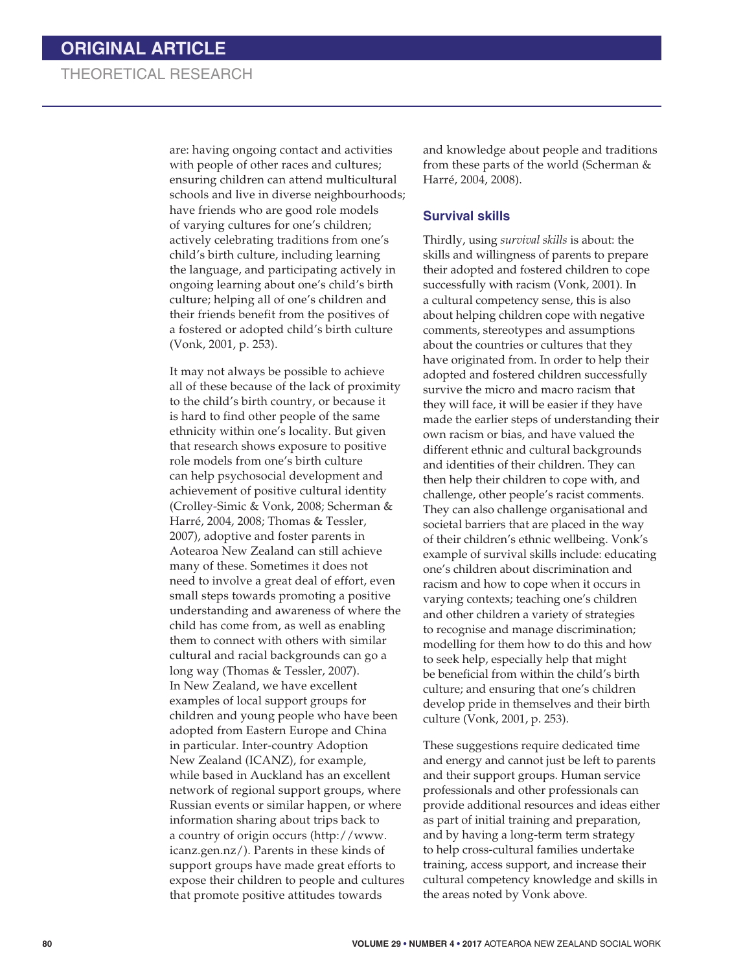# THEORETICAL RESEARCH

are: having ongoing contact and activities with people of other races and cultures; ensuring children can attend multicultural schools and live in diverse neighbourhoods; have friends who are good role models of varying cultures for one's children; actively celebrating traditions from one's child's birth culture, including learning the language, and participating actively in ongoing learning about one's child's birth culture; helping all of one's children and their friends benefit from the positives of a fostered or adopted child's birth culture (Vonk, 2001, p. 253).

It may not always be possible to achieve all of these because of the lack of proximity to the child's birth country, or because it is hard to find other people of the same ethnicity within one's locality. But given that research shows exposure to positive role models from one's birth culture can help psychosocial development and achievement of positive cultural identity (Crolley-Simic & Vonk, 2008; Scherman & Harré, 2004, 2008; Thomas & Tessler, 2007), adoptive and foster parents in Aotearoa New Zealand can still achieve many of these. Sometimes it does not need to involve a great deal of effort, even small steps towards promoting a positive understanding and awareness of where the child has come from, as well as enabling them to connect with others with similar cultural and racial backgrounds can go a long way (Thomas & Tessler, 2007). In New Zealand, we have excellent examples of local support groups for children and young people who have been adopted from Eastern Europe and China in particular. Inter-country Adoption New Zealand (ICANZ), for example, while based in Auckland has an excellent network of regional support groups, where Russian events or similar happen, or where information sharing about trips back to a country of origin occurs (http://www. icanz.gen.nz/). Parents in these kinds of support groups have made great efforts to expose their children to people and cultures that promote positive attitudes towards

and knowledge about people and traditions from these parts of the world (Scherman & Harré, 2004, 2008).

#### **Survival skills**

Thirdly, using *survival skills* is about: the skills and willingness of parents to prepare their adopted and fostered children to cope successfully with racism (Vonk, 2001). In a cultural competency sense, this is also about helping children cope with negative comments, stereotypes and assumptions about the countries or cultures that they have originated from. In order to help their adopted and fostered children successfully survive the micro and macro racism that they will face, it will be easier if they have made the earlier steps of understanding their own racism or bias, and have valued the different ethnic and cultural backgrounds and identities of their children. They can then help their children to cope with, and challenge, other people's racist comments. They can also challenge organisational and societal barriers that are placed in the way of their children's ethnic wellbeing. Vonk's example of survival skills include: educating one's children about discrimination and racism and how to cope when it occurs in varying contexts; teaching one's children and other children a variety of strategies to recognise and manage discrimination; modelling for them how to do this and how to seek help, especially help that might be beneficial from within the child's birth culture; and ensuring that one's children develop pride in themselves and their birth culture (Vonk, 2001, p. 253).

These suggestions require dedicated time and energy and cannot just be left to parents and their support groups. Human service professionals and other professionals can provide additional resources and ideas either as part of initial training and preparation, and by having a long-term term strategy to help cross-cultural families undertake training, access support, and increase their cultural competency knowledge and skills in the areas noted by Vonk above.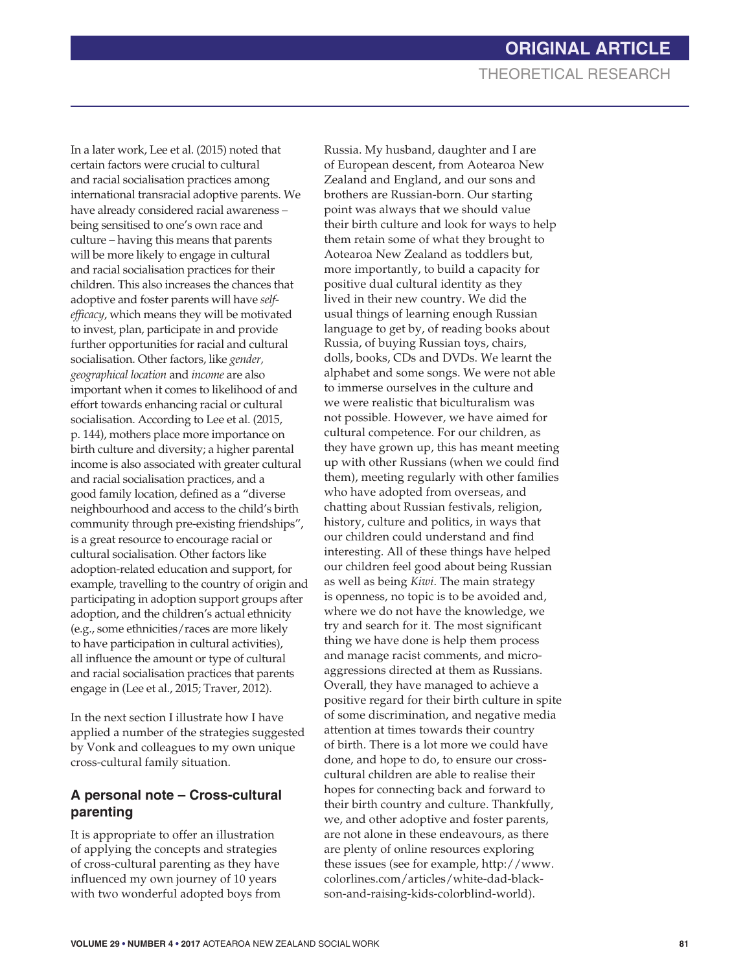In a later work, Lee et al. (2015) noted that certain factors were crucial to cultural and racial socialisation practices among international transracial adoptive parents. We have already considered racial awareness – being sensitised to one's own race and culture – having this means that parents will be more likely to engage in cultural and racial socialisation practices for their children. This also increases the chances that adoptive and foster parents will have *selfefficacy*, which means they will be motivated to invest, plan, participate in and provide further opportunities for racial and cultural socialisation. Other factors, like *gender, geographical location* and *income* are also important when it comes to likelihood of and effort towards enhancing racial or cultural socialisation. According to Lee et al. (2015, p. 144), mothers place more importance on birth culture and diversity; a higher parental income is also associated with greater cultural and racial socialisation practices, and a good family location, defined as a "diverse neighbourhood and access to the child's birth community through pre-existing friendships", is a great resource to encourage racial or cultural socialisation. Other factors like adoption-related education and support, for example, travelling to the country of origin and participating in adoption support groups after adoption, and the children's actual ethnicity (e.g., some ethnicities/races are more likely to have participation in cultural activities), all influence the amount or type of cultural and racial socialisation practices that parents engage in (Lee et al., 2015; Traver, 2012).

In the next section I illustrate how I have applied a number of the strategies suggested by Vonk and colleagues to my own unique cross-cultural family situation.

## **A personal note – Cross-cultural parenting**

It is appropriate to offer an illustration of applying the concepts and strategies of cross-cultural parenting as they have influenced my own journey of 10 years with two wonderful adopted boys from

Russia. My husband, daughter and I are of European descent, from Aotearoa New Zealand and England, and our sons and brothers are Russian-born. Our starting point was always that we should value their birth culture and look for ways to help them retain some of what they brought to Aotearoa New Zealand as toddlers but, more importantly, to build a capacity for positive dual cultural identity as they lived in their new country. We did the usual things of learning enough Russian language to get by, of reading books about Russia, of buying Russian toys, chairs, dolls, books, CDs and DVDs. We learnt the alphabet and some songs. We were not able to immerse ourselves in the culture and we were realistic that biculturalism was not possible. However, we have aimed for cultural competence. For our children, as they have grown up, this has meant meeting up with other Russians (when we could find them), meeting regularly with other families who have adopted from overseas, and chatting about Russian festivals, religion, history, culture and politics, in ways that our children could understand and find interesting. All of these things have helped our children feel good about being Russian as well as being *Kiwi*. The main strategy is openness, no topic is to be avoided and, where we do not have the knowledge, we try and search for it. The most significant thing we have done is help them process and manage racist comments, and microaggressions directed at them as Russians. Overall, they have managed to achieve a positive regard for their birth culture in spite of some discrimination, and negative media attention at times towards their country of birth. There is a lot more we could have done, and hope to do, to ensure our crosscultural children are able to realise their hopes for connecting back and forward to their birth country and culture. Thankfully, we, and other adoptive and foster parents, are not alone in these endeavours, as there are plenty of online resources exploring these issues (see for example, http://www. colorlines.com/articles/white-dad-blackson-and-raising-kids-colorblind-world).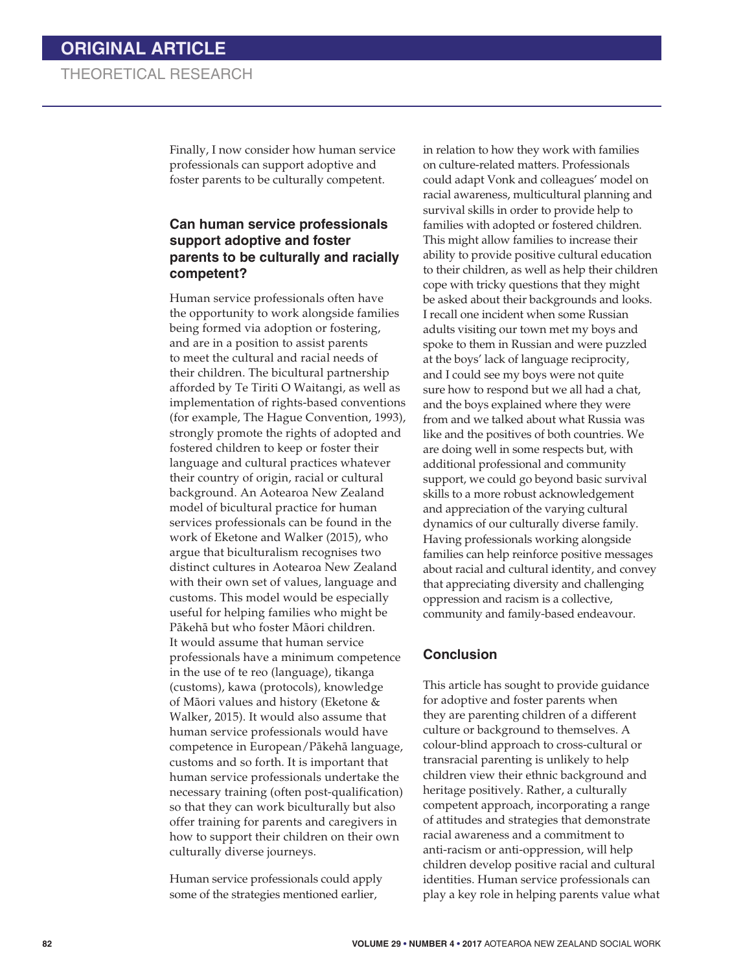Finally, I now consider how human service professionals can support adoptive and foster parents to be culturally competent.

#### **Can human service professionals support adoptive and foster parents to be culturally and racially competent?**

Human service professionals often have the opportunity to work alongside families being formed via adoption or fostering, and are in a position to assist parents to meet the cultural and racial needs of their children. The bicultural partnership afforded by Te Tiriti O Waitangi, as well as implementation of rights-based conventions (for example, The Hague Convention, 1993), strongly promote the rights of adopted and fostered children to keep or foster their language and cultural practices whatever their country of origin, racial or cultural background. An Aotearoa New Zealand model of bicultural practice for human services professionals can be found in the work of Eketone and Walker (2015), who argue that biculturalism recognises two distinct cultures in Aotearoa New Zealand with their own set of values, language and customs. This model would be especially useful for helping families who might be Pákehá but who foster Máori children. It would assume that human service professionals have a minimum competence in the use of te reo (language), tikanga (customs), kawa (protocols), knowledge of Máori values and history (Eketone & Walker, 2015). It would also assume that human service professionals would have competence in European/Pákehá language, customs and so forth. It is important that human service professionals undertake the necessary training (often post-qualification) so that they can work biculturally but also offer training for parents and caregivers in how to support their children on their own culturally diverse journeys.

Human service professionals could apply some of the strategies mentioned earlier,

in relation to how they work with families on culture-related matters. Professionals could adapt Vonk and colleagues' model on racial awareness, multicultural planning and survival skills in order to provide help to families with adopted or fostered children. This might allow families to increase their ability to provide positive cultural education to their children, as well as help their children cope with tricky questions that they might be asked about their backgrounds and looks. I recall one incident when some Russian adults visiting our town met my boys and spoke to them in Russian and were puzzled at the boys' lack of language reciprocity, and I could see my boys were not quite sure how to respond but we all had a chat, and the boys explained where they were from and we talked about what Russia was like and the positives of both countries. We are doing well in some respects but, with additional professional and community support, we could go beyond basic survival skills to a more robust acknowledgement and appreciation of the varying cultural dynamics of our culturally diverse family. Having professionals working alongside families can help reinforce positive messages about racial and cultural identity, and convey that appreciating diversity and challenging oppression and racism is a collective, community and family-based endeavour.

#### **Conclusion**

This article has sought to provide guidance for adoptive and foster parents when they are parenting children of a different culture or background to themselves. A colour-blind approach to cross-cultural or transracial parenting is unlikely to help children view their ethnic background and heritage positively. Rather, a culturally competent approach, incorporating a range of attitudes and strategies that demonstrate racial awareness and a commitment to anti-racism or anti-oppression, will help children develop positive racial and cultural identities. Human service professionals can play a key role in helping parents value what